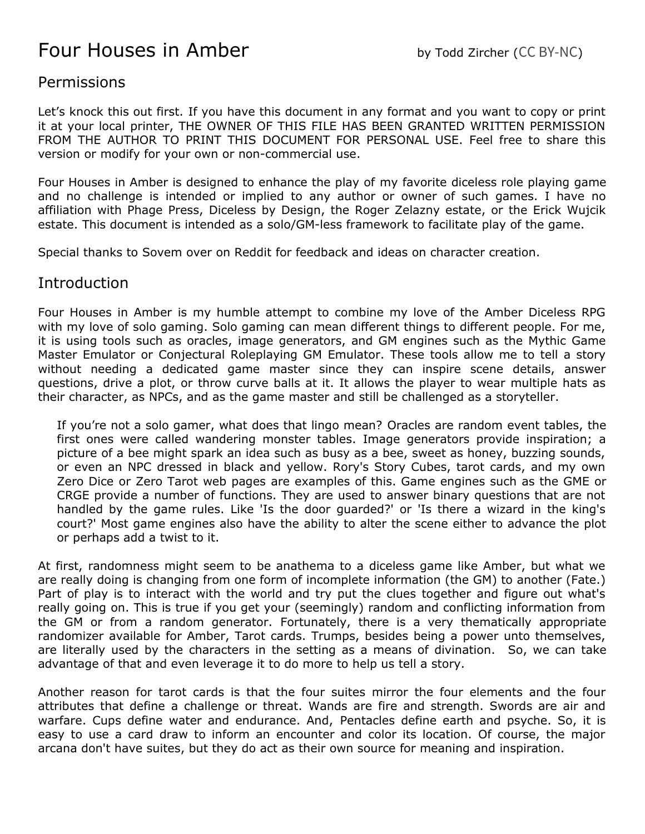# Four Houses in Amber by Todd Zircher (CC BY-NC)

#### **Permissions**

Let's knock this out first. If you have this document in any format and you want to copy or print it at your local printer, THE OWNER OF THIS FILE HAS BEEN GRANTED WRITTEN PERMISSION FROM THE AUTHOR TO PRINT THIS DOCUMENT FOR PERSONAL USE. Feel free to share this version or modify for your own or non-commercial use.

Four Houses in Amber is designed to enhance the play of my favorite diceless role playing game and no challenge is intended or implied to any author or owner of such games. I have no affiliation with Phage Press, Diceless by Design, the Roger Zelazny estate, or the Erick Wujcik estate. This document is intended as a solo/GM-less framework to facilitate play of the game.

Special thanks to Sovem over on Reddit for feedback and ideas on character creation.

#### Introduction

Four Houses in Amber is my humble attempt to combine my love of the Amber Diceless RPG with my love of solo gaming. Solo gaming can mean different things to different people. For me, it is using tools such as oracles, image generators, and GM engines such as the Mythic Game Master Emulator or Conjectural Roleplaying GM Emulator. These tools allow me to tell a story without needing a dedicated game master since they can inspire scene details, answer questions, drive a plot, or throw curve balls at it. It allows the player to wear multiple hats as their character, as NPCs, and as the game master and still be challenged as a storyteller.

If you're not a solo gamer, what does that lingo mean? Oracles are random event tables, the first ones were called wandering monster tables. Image generators provide inspiration; a picture of a bee might spark an idea such as busy as a bee, sweet as honey, buzzing sounds, or even an NPC dressed in black and yellow. Rory's Story Cubes, tarot cards, and my own Zero Dice or Zero Tarot web pages are examples of this. Game engines such as the GME or CRGE provide a number of functions. They are used to answer binary questions that are not handled by the game rules. Like 'Is the door guarded?' or 'Is there a wizard in the king's court?' Most game engines also have the ability to alter the scene either to advance the plot or perhaps add a twist to it.

At first, randomness might seem to be anathema to a diceless game like Amber, but what we are really doing is changing from one form of incomplete information (the GM) to another (Fate.) Part of play is to interact with the world and try put the clues together and figure out what's really going on. This is true if you get your (seemingly) random and conflicting information from the GM or from a random generator. Fortunately, there is a very thematically appropriate randomizer available for Amber, Tarot cards. Trumps, besides being a power unto themselves, are literally used by the characters in the setting as a means of divination. So, we can take advantage of that and even leverage it to do more to help us tell a story.

Another reason for tarot cards is that the four suites mirror the four elements and the four attributes that define a challenge or threat. Wands are fire and strength. Swords are air and warfare. Cups define water and endurance. And, Pentacles define earth and psyche. So, it is easy to use a card draw to inform an encounter and color its location. Of course, the major arcana don't have suites, but they do act as their own source for meaning and inspiration.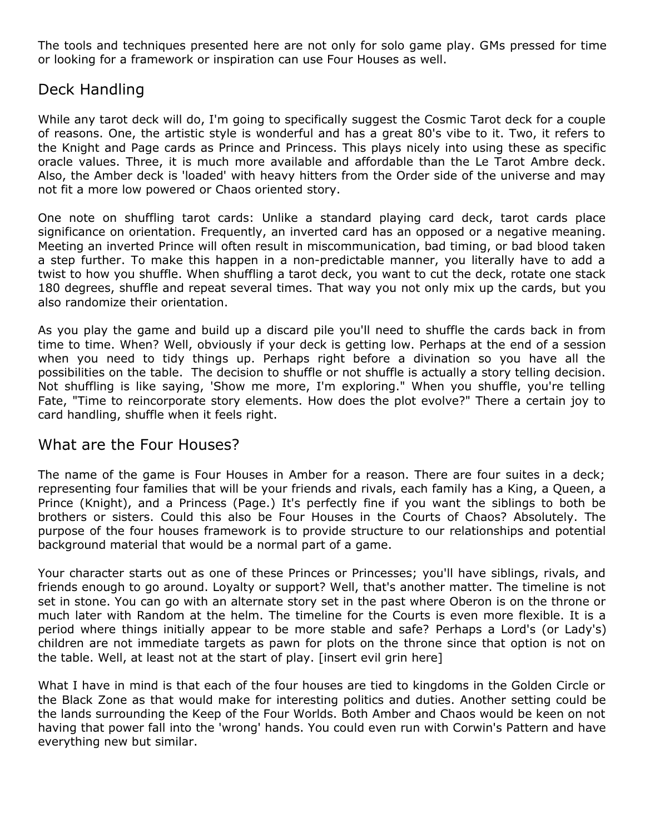The tools and techniques presented here are not only for solo game play. GMs pressed for time or looking for a framework or inspiration can use Four Houses as well.

## Deck Handling

While any tarot deck will do, I'm going to specifically suggest the Cosmic Tarot deck for a couple of reasons. One, the artistic style is wonderful and has a great 80's vibe to it. Two, it refers to the Knight and Page cards as Prince and Princess. This plays nicely into using these as specific oracle values. Three, it is much more available and affordable than the Le Tarot Ambre deck. Also, the Amber deck is 'loaded' with heavy hitters from the Order side of the universe and may not fit a more low powered or Chaos oriented story.

One note on shuffling tarot cards: Unlike a standard playing card deck, tarot cards place significance on orientation. Frequently, an inverted card has an opposed or a negative meaning. Meeting an inverted Prince will often result in miscommunication, bad timing, or bad blood taken a step further. To make this happen in a non-predictable manner, you literally have to add a twist to how you shuffle. When shuffling a tarot deck, you want to cut the deck, rotate one stack 180 degrees, shuffle and repeat several times. That way you not only mix up the cards, but you also randomize their orientation.

As you play the game and build up a discard pile you'll need to shuffle the cards back in from time to time. When? Well, obviously if your deck is getting low. Perhaps at the end of a session when you need to tidy things up. Perhaps right before a divination so you have all the possibilities on the table. The decision to shuffle or not shuffle is actually a story telling decision. Not shuffling is like saying, 'Show me more, I'm exploring." When you shuffle, you're telling Fate, "Time to reincorporate story elements. How does the plot evolve?" There a certain joy to card handling, shuffle when it feels right.

#### What are the Four Houses?

The name of the game is Four Houses in Amber for a reason. There are four suites in a deck; representing four families that will be your friends and rivals, each family has a King, a Queen, a Prince (Knight), and a Princess (Page.) It's perfectly fine if you want the siblings to both be brothers or sisters. Could this also be Four Houses in the Courts of Chaos? Absolutely. The purpose of the four houses framework is to provide structure to our relationships and potential background material that would be a normal part of a game.

Your character starts out as one of these Princes or Princesses; you'll have siblings, rivals, and friends enough to go around. Loyalty or support? Well, that's another matter. The timeline is not set in stone. You can go with an alternate story set in the past where Oberon is on the throne or much later with Random at the helm. The timeline for the Courts is even more flexible. It is a period where things initially appear to be more stable and safe? Perhaps a Lord's (or Lady's) children are not immediate targets as pawn for plots on the throne since that option is not on the table. Well, at least not at the start of play. [insert evil grin here]

What I have in mind is that each of the four houses are tied to kingdoms in the Golden Circle or the Black Zone as that would make for interesting politics and duties. Another setting could be the lands surrounding the Keep of the Four Worlds. Both Amber and Chaos would be keen on not having that power fall into the 'wrong' hands. You could even run with Corwin's Pattern and have everything new but similar.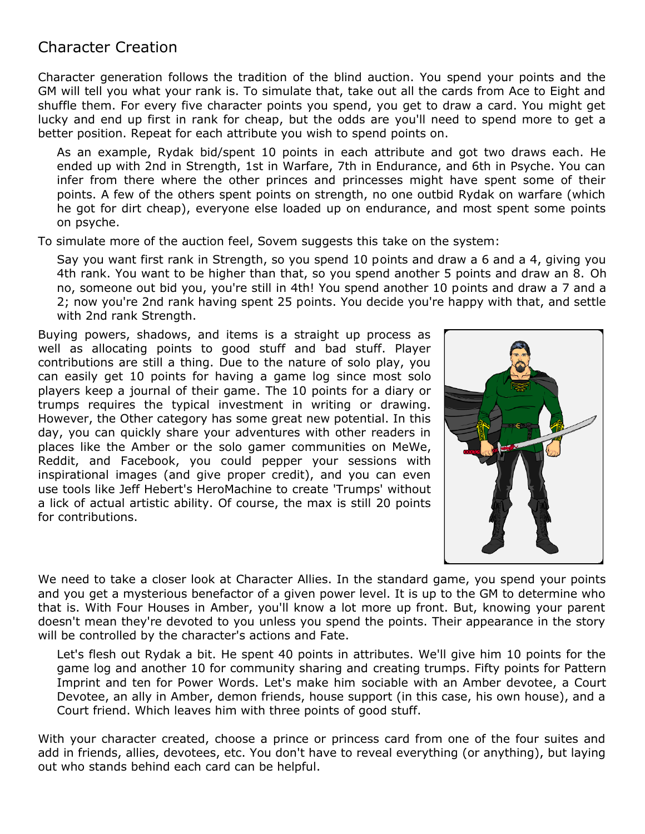# Character Creation

Character generation follows the tradition of the blind auction. You spend your points and the GM will tell you what your rank is. To simulate that, take out all the cards from Ace to Eight and shuffle them. For every five character points you spend, you get to draw a card. You might get lucky and end up first in rank for cheap, but the odds are you'll need to spend more to get a better position. Repeat for each attribute you wish to spend points on.

As an example, Rydak bid/spent 10 points in each attribute and got two draws each. He ended up with 2nd in Strength, 1st in Warfare, 7th in Endurance, and 6th in Psyche. You can infer from there where the other princes and princesses might have spent some of their points. A few of the others spent points on strength, no one outbid Rydak on warfare (which he got for dirt cheap), everyone else loaded up on endurance, and most spent some points on psyche.

To simulate more of the auction feel, Sovem suggests this take on the system:

Say you want first rank in Strength, so you spend 10 points and draw a 6 and a 4, giving you 4th rank. You want to be higher than that, so you spend another 5 points and draw an 8. Oh no, someone out bid you, you're still in 4th! You spend another 10 points and draw a 7 and a 2; now you're 2nd rank having spent 25 points. You decide you're happy with that, and settle with 2nd rank Strength.

Buying powers, shadows, and items is a straight up process as well as allocating points to good stuff and bad stuff. Player contributions are still a thing. Due to the nature of solo play, you can easily get 10 points for having a game log since most solo players keep a journal of their game. The 10 points for a diary or trumps requires the typical investment in writing or drawing. However, the Other category has some great new potential. In this day, you can quickly share your adventures with other readers in places like the Amber or the solo gamer communities on MeWe, Reddit, and Facebook, you could pepper your sessions with inspirational images (and give proper credit), and you can even use tools like Jeff Hebert's HeroMachine to create 'Trumps' without a lick of actual artistic ability. Of course, the max is still 20 points for contributions.



We need to take a closer look at Character Allies. In the standard game, you spend your points and you get a mysterious benefactor of a given power level. It is up to the GM to determine who that is. With Four Houses in Amber, you'll know a lot more up front. But, knowing your parent doesn't mean they're devoted to you unless you spend the points. Their appearance in the story will be controlled by the character's actions and Fate.

Let's flesh out Rydak a bit. He spent 40 points in attributes. We'll give him 10 points for the game log and another 10 for community sharing and creating trumps. Fifty points for Pattern Imprint and ten for Power Words. Let's make him sociable with an Amber devotee, a Court Devotee, an ally in Amber, demon friends, house support (in this case, his own house), and a Court friend. Which leaves him with three points of good stuff.

With your character created, choose a prince or princess card from one of the four suites and add in friends, allies, devotees, etc. You don't have to reveal everything (or anything), but laying out who stands behind each card can be helpful.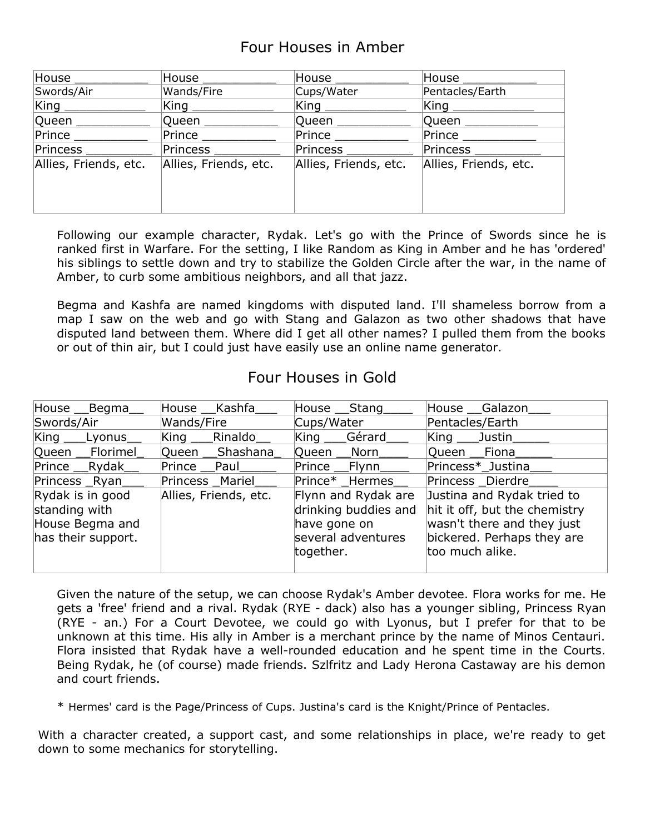# Four Houses in Amber

| House                 | House ____            | House ____                  | House $\_\_$          |
|-----------------------|-----------------------|-----------------------------|-----------------------|
| Swords/Air            | Wands/Fire            | Cups/Water                  | Pentacles/Earth       |
| $\mathsf{King}\,$     | $\mathsf{King} \_\_$  | $\mathsf{King} \_\ \_\ \_\$ |                       |
| Queen                 | Queen                 | Queen ____                  | Queen ___             |
| <b>Prince</b>         | Prince                | $Prince \_\_$               | Prince                |
| Princess ___          | Princess ____         | Princess _____              | Princess _________    |
| Allies, Friends, etc. | Allies, Friends, etc. | Allies, Friends, etc.       | Allies, Friends, etc. |
|                       |                       |                             |                       |
|                       |                       |                             |                       |
|                       |                       |                             |                       |

Following our example character, Rydak. Let's go with the Prince of Swords since he is ranked first in Warfare. For the setting, I like Random as King in Amber and he has 'ordered' his siblings to settle down and try to stabilize the Golden Circle after the war, in the name of Amber, to curb some ambitious neighbors, and all that jazz.

Begma and Kashfa are named kingdoms with disputed land. I'll shameless borrow from a map I saw on the web and go with Stang and Galazon as two other shadows that have disputed land between them. Where did I get all other names? I pulled them from the books or out of thin air, but I could just have easily use an online name generator.

## Four Houses in Gold

| House __Begma_                                                             | House Kashfa          | House __ Stang                                                                                 | House Galazon                                                                                                                              |
|----------------------------------------------------------------------------|-----------------------|------------------------------------------------------------------------------------------------|--------------------------------------------------------------------------------------------------------------------------------------------|
| Swords/Air                                                                 | Wands/Fire            | Cups/Water                                                                                     | Pentacles/Earth                                                                                                                            |
| King Lyonus                                                                | King Rinaldo          | King Gérard                                                                                    | $\mathsf{King}\_\_\mathsf{Justin}\_\mathsf{r}$                                                                                             |
| Queen Florimel                                                             | Queen Shashana        | Queen Norn                                                                                     | Queen Fiona                                                                                                                                |
| Prince Rydak                                                               | Prince Paul           | Prince Flynn                                                                                   | Princess*_Justina                                                                                                                          |
| Princess Ryan                                                              | Princess Mariel       | Prince* Hermes                                                                                 | Princess Dierdre                                                                                                                           |
| Rydak is in good<br>standing with<br>House Begma and<br>has their support. | Allies, Friends, etc. | Flynn and Rydak are<br>drinking buddies and<br>have gone on<br>several adventures<br>together. | Justina and Rydak tried to<br>hit it off, but the chemistry<br>wasn't there and they just<br>bickered. Perhaps they are<br>too much alike. |

Given the nature of the setup, we can choose Rydak's Amber devotee. Flora works for me. He gets a 'free' friend and a rival. Rydak (RYE - dack) also has a younger sibling, Princess Ryan (RYE - an.) For a Court Devotee, we could go with Lyonus, but I prefer for that to be unknown at this time. His ally in Amber is a merchant prince by the name of Minos Centauri. Flora insisted that Rydak have a well-rounded education and he spent time in the Courts. Being Rydak, he (of course) made friends. Szlfritz and Lady Herona Castaway are his demon and court friends.

\* Hermes' card is the Page/Princess of Cups. Justina's card is the Knight/Prince of Pentacles.

With a character created, a support cast, and some relationships in place, we're ready to get down to some mechanics for storytelling.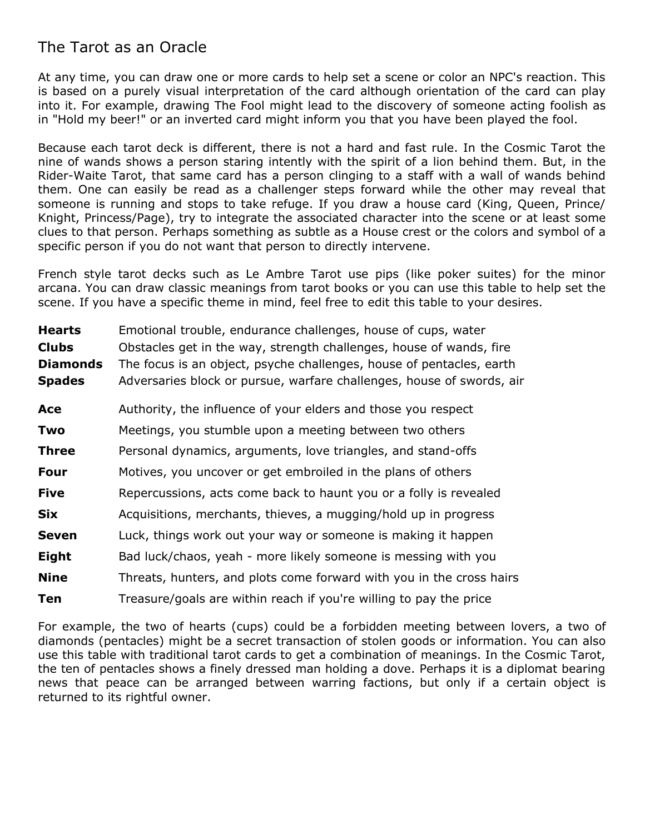# The Tarot as an Oracle

At any time, you can draw one or more cards to help set a scene or color an NPC's reaction. This is based on a purely visual interpretation of the card although orientation of the card can play into it. For example, drawing The Fool might lead to the discovery of someone acting foolish as in "Hold my beer!" or an inverted card might inform you that you have been played the fool.

Because each tarot deck is different, there is not a hard and fast rule. In the Cosmic Tarot the nine of wands shows a person staring intently with the spirit of a lion behind them. But, in the Rider-Waite Tarot, that same card has a person clinging to a staff with a wall of wands behind them. One can easily be read as a challenger steps forward while the other may reveal that someone is running and stops to take refuge. If you draw a house card (King, Queen, Prince/ Knight, Princess/Page), try to integrate the associated character into the scene or at least some clues to that person. Perhaps something as subtle as a House crest or the colors and symbol of a specific person if you do not want that person to directly intervene.

French style tarot decks such as Le Ambre Tarot use pips (like poker suites) for the minor arcana. You can draw classic meanings from tarot books or you can use this table to help set the scene. If you have a specific theme in mind, feel free to edit this table to your desires.

| <b>Hearts</b>   | Emotional trouble, endurance challenges, house of cups, water         |
|-----------------|-----------------------------------------------------------------------|
| <b>Clubs</b>    | Obstacles get in the way, strength challenges, house of wands, fire   |
| <b>Diamonds</b> | The focus is an object, psyche challenges, house of pentacles, earth  |
| <b>Spades</b>   | Adversaries block or pursue, warfare challenges, house of swords, air |
| Ace             | Authority, the influence of your elders and those you respect         |
| Two             | Meetings, you stumble upon a meeting between two others               |
| <b>Three</b>    | Personal dynamics, arguments, love triangles, and stand-offs          |
| Four            | Motives, you uncover or get embroiled in the plans of others          |
| <b>Five</b>     | Repercussions, acts come back to haunt you or a folly is revealed     |
| <b>Six</b>      | Acquisitions, merchants, thieves, a mugging/hold up in progress       |
| <b>Seven</b>    | Luck, things work out your way or someone is making it happen         |
| Eight           | Bad luck/chaos, yeah - more likely someone is messing with you        |
| <b>Nine</b>     | Threats, hunters, and plots come forward with you in the cross hairs  |
| Ten             | Treasure/goals are within reach if you're willing to pay the price    |

For example, the two of hearts (cups) could be a forbidden meeting between lovers, a two of diamonds (pentacles) might be a secret transaction of stolen goods or information. You can also use this table with traditional tarot cards to get a combination of meanings. In the Cosmic Tarot, the ten of pentacles shows a finely dressed man holding a dove. Perhaps it is a diplomat bearing news that peace can be arranged between warring factions, but only if a certain object is returned to its rightful owner.